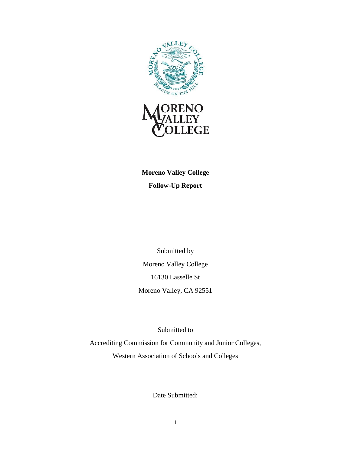

**Moreno Valley College Follow-Up Report**

Submitted by Moreno Valley College 16130 Lasselle St Moreno Valley, CA 92551

Submitted to

Accrediting Commission for Community and Junior Colleges, Western Association of Schools and Colleges

Date Submitted: September 10, 2021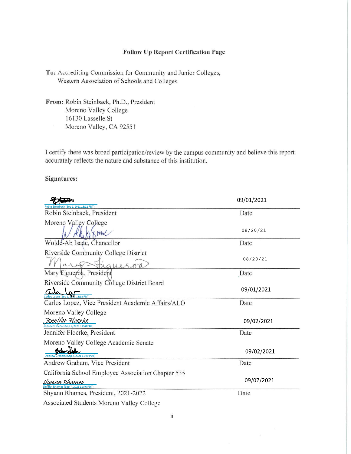#### **Follow Up Report Certification Page**

To: Accrediting Commission for Community and Junior Colleges, Western Association of Schools and Colleges

From: Robin Steinback, Ph.D., President Moreno Valley College 16130 Lasselle St Moreno Valley, CA 92551

I certify there was broad participation/review by the campus community and believe this report accurately reflects the nature and substance of this institution.

## **Signatures:**

|                                                                     | 09/01/2021 |
|---------------------------------------------------------------------|------------|
| obin Steinback (Sep 1, 2021 13:12 PDT<br>Robin Steinback, President | Date       |
| Moreno Valley College                                               |            |
|                                                                     | 08/20/21   |
| Wolde-Ab Isaac, Chancellor                                          | Date       |
| Riverside Community College District                                | 08/20/21   |
|                                                                     |            |
| Mary Eigueron, President                                            | Date       |
| Riverside Community College District Board                          |            |
|                                                                     | 09/01/2021 |
| Carlos Lopez, Vice President Academic Affairs/ALO                   | Date       |
| Moreno Valley College                                               |            |
| <u> JEMMIFEF FloEFUE</u><br>Jennifer Floerke (Sep 2, 2021 11:28 PDT | 09/02/2021 |
| Jennifer Floerke, President                                         | Date       |
| Moreno Valley College Academic Senate                               |            |
|                                                                     | 09/02/2021 |
| Andrew Graham, Vice President                                       | Date       |
| California School Employee Association Chapter 535                  |            |
| Shuann Rhames                                                       | 09/07/2021 |
| Shyann Rhames, President, 2021-2022                                 | Date       |
| Associated Students Moreno Valley College                           |            |

 $\alpha$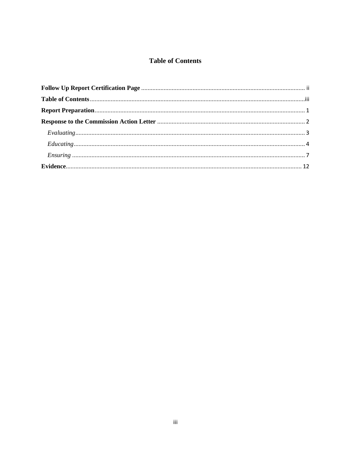# **Table of Contents**

<span id="page-2-0"></span>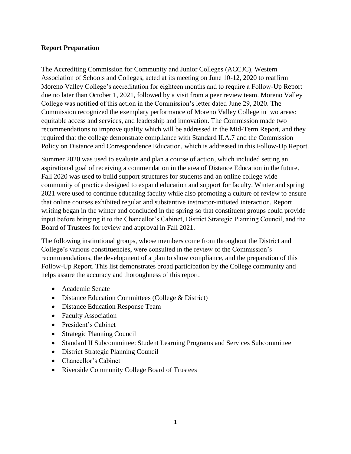## <span id="page-3-0"></span>**Report Preparation**

The Accrediting Commission for Community and Junior Colleges (ACCJC), Western Association of Schools and Colleges, acted at its meeting on June 10-12, 2020 to reaffirm Moreno Valley College's accreditation for eighteen months and to require a Follow-Up Report due no later than October 1, 2021, followed by a visit from a peer review team. Moreno Valley College was notified of this action in the Commission's letter dated June 29, 2020. The Commission recognized the exemplary performance of Moreno Valley College in two areas: equitable access and services, and leadership and innovation. The Commission made two recommendations to improve quality which will be addressed in the Mid-Term Report, and they required that the college demonstrate compliance with Standard II.A.7 and the Commission Policy on Distance and Correspondence Education, which is addressed in this Follow-Up Report.

Summer 2020 was used to evaluate and plan a course of action, which included setting an aspirational goal of receiving a commendation in the area of Distance Education in the future. Fall 2020 was used to build support structures for students and an online college wide community of practice designed to expand education and support for faculty. Winter and spring 2021 were used to continue educating faculty while also promoting a culture of review to ensure that online courses exhibited regular and substantive instructor-initiated interaction. Report writing began in the winter and concluded in the spring so that constituent groups could provide input before bringing it to the Chancellor's Cabinet, District Strategic Planning Council, and the Board of Trustees for review and approval in Fall 2021.

The following institutional groups, whose members come from throughout the District and College's various constituencies, were consulted in the review of the Commission's recommendations, the development of a plan to show compliance, and the preparation of this Follow-Up Report. This list demonstrates broad participation by the College community and helps assure the accuracy and thoroughness of this report.

- Academic Senate
- Distance Education Committees (College & District)
- Distance Education Response Team
- Faculty Association
- President's Cabinet
- Strategic Planning Council
- Standard II Subcommittee: Student Learning Programs and Services Subcommittee
- District Strategic Planning Council
- Chancellor's Cabinet
- Riverside Community College Board of Trustees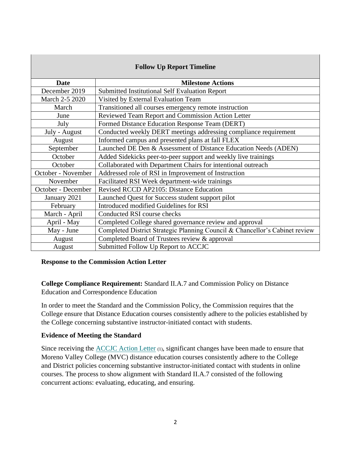| <b>Follow Up Report Timeline</b> |                                                                             |  |
|----------------------------------|-----------------------------------------------------------------------------|--|
| <b>Date</b>                      | <b>Milestone Actions</b>                                                    |  |
| December 2019                    | Submitted Institutional Self Evaluation Report                              |  |
| March 2-5 2020                   | Visited by External Evaluation Team                                         |  |
| March                            | Transitioned all courses emergency remote instruction                       |  |
| June                             | Reviewed Team Report and Commission Action Letter                           |  |
| July                             | Formed Distance Education Response Team (DERT)                              |  |
| July - August                    | Conducted weekly DERT meetings addressing compliance requirement            |  |
| August                           | Informed campus and presented plans at fall FLEX                            |  |
| September                        | Launched DE Den & Assessment of Distance Education Needs (ADEN)             |  |
| October                          | Added Sidekicks peer-to-peer support and weekly live trainings              |  |
| October                          | Collaborated with Department Chairs for intentional outreach                |  |
| October - November               | Addressed role of RSI in Improvement of Instruction                         |  |
| November                         | Facilitated RSI Week department-wide trainings                              |  |
| October - December               | Revised RCCD AP2105: Distance Education                                     |  |
| January 2021                     | Launched Quest for Success student support pilot                            |  |
| February                         | Introduced modified Guidelines for RSI                                      |  |
| March - April                    | Conducted RSI course checks                                                 |  |
| April - May                      | Completed College shared governance review and approval                     |  |
| May - June                       | Completed District Strategic Planning Council & Chancellor's Cabinet review |  |
| August                           | Completed Board of Trustees review & approval                               |  |
| August                           | Submitted Follow Up Report to ACCJC                                         |  |

### <span id="page-4-0"></span>**Response to the Commission Action Letter**

**College Compliance Requirement:** Standard II.A.7 and Commission Policy on Distance Education and Correspondence Education

In order to meet the Standard and the Commission Policy, the Commission requires that the College ensure that Distance Education courses consistently adhere to the policies established by the College concerning substantive instructor-initiated contact with students.

## **Evidence of Meeting the Standard**

Since receiving the [ACCJC Action Letter](https://www.rccd.edu/mvc/accreditation/Accreditation%2020201/Evidence/ACCJC%20Action%20Letter.pdf) (1), significant changes have been made to ensure that Moreno Valley College (MVC) distance education courses consistently adhere to the College and District policies concerning substantive instructor-initiated contact with students in online courses. The process to show alignment with Standard II.A.7 consisted of the following concurrent actions: evaluating, educating, and ensuring.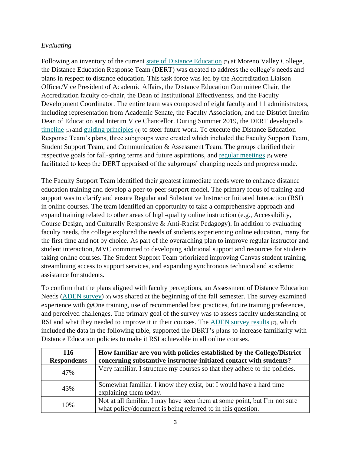# <span id="page-5-0"></span>*Evaluating*

Following an inventory of the current [state of Distance Education](https://www.rccd.edu/mvc/accreditation/Accreditation%2020201/Evidence/State%20of%20Distance%20Education.pdf) (2) at Moreno Valley College, the Distance Education Response Team (DERT) was created to address the college's needs and plans in respect to distance education. This task force was led by the Accreditation Liaison Officer/Vice President of Academic Affairs, the Distance Education Committee Chair, the Accreditation faculty co-chair, the Dean of Institutional Effectiveness, and the Faculty Development Coordinator. The entire team was composed of eight faculty and 11 administrators, including representation from Academic Senate, the Faculty Association, and the District Interim Dean of Education and Interim Vice Chancellor. During Summer 2019, the DERT developed a [timeline](https://www.rccd.edu/mvc/accreditation/Accreditation%2020201/Evidence/Timeline.pdf) (3) and [guiding principles](https://www.rccd.edu/mvc/accreditation/Accreditation%2020201/Evidence/Guiding%20Principles.pdf) (4) to steer future work. To execute the Distance Education Response Team's plans, three subgroups were created which included the Faculty Support Team, Student Support Team, and Communication & Assessment Team. The groups clarified their respective goals for fall-spring terms and future aspirations, and [regular meetings](https://www.rccd.edu/mvc/accreditation/Accreditation%2020201/Evidence/Regular%20meetings.pdf) (5) were facilitated to keep the DERT appraised of the subgroups' changing needs and progress made.

The Faculty Support Team identified their greatest immediate needs were to enhance distance education training and develop a peer-to-peer support model. The primary focus of training and support was to clarify and ensure Regular and Substantive Instructor Initiated Interaction (RSI) in online courses. The team identified an opportunity to take a comprehensive approach and expand training related to other areas of high-quality online instruction (e.g., Accessibility, Course Design, and Culturally Responsive & Anti-Racist Pedagogy). In addition to evaluating faculty needs, the college explored the needs of students experiencing online education, many for the first time and not by choice. As part of the overarching plan to improve regular instructor and student interaction, MVC committed to developing additional support and resources for students taking online courses. The Student Support Team prioritized improving Canvas student training, streamlining access to support services, and expanding synchronous technical and academic assistance for students.

To confirm that the plans aligned with faculty perceptions, an Assessment of Distance Education Needs [\(ADEN survey\)](https://www.rccd.edu/mvc/accreditation/Accreditation%2020201/Evidence/ADEN%20Survey.pdf) (6) was shared at the beginning of the fall semester. The survey examined experience with @One training, use of recommended best practices, future training preferences, and perceived challenges. The primary goal of the survey was to assess faculty understanding of RSI and what they needed to improve it in their courses. The [ADEN survey results](https://www.rccd.edu/mvc/accreditation/Accreditation%2020201/Evidence/ADEN%20Survey%20Results.pdf)  $(7)$ , which included the data in the following table, supported the DERT's plans to increase familiarity with Distance Education policies to make it RSI achievable in all online courses.

| 116<br><b>Respondents</b> | How familiar are you with policies established by the College/District<br>concerning substantive instructor-initiated contact with students? |
|---------------------------|----------------------------------------------------------------------------------------------------------------------------------------------|
| 47%                       | Very familiar. I structure my courses so that they adhere to the policies.                                                                   |
| 43%                       | Somewhat familiar. I know they exist, but I would have a hard time<br>explaining them today.                                                 |
| 10%                       | Not at all familiar. I may have seen them at some point, but I'm not sure<br>what policy/document is being referred to in this question.     |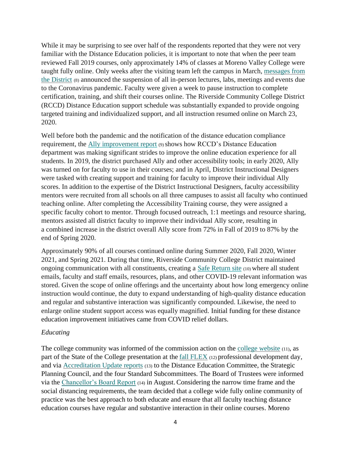While it may be surprising to see over half of the respondents reported that they were not very familiar with the Distance Education policies, it is important to note that when the peer team reviewed Fall 2019 courses, only approximately 14% of classes at Moreno Valley College were taught fully online. Only weeks after the visiting team left the campus in March, [messages from](https://www.rccd.edu/mvc/accreditation/Accreditation%2020201/Evidence/messages%20from%20the%20District.pdf)  [the District](https://www.rccd.edu/mvc/accreditation/Accreditation%2020201/Evidence/messages%20from%20the%20District.pdf) (8) announced the suspension of all in-person lectures, labs, meetings and events due to the Coronavirus pandemic. Faculty were given a week to pause instruction to complete certification, training, and shift their courses online. The Riverside Community College District (RCCD) Distance Education support schedule was substantially expanded to provide ongoing targeted training and individualized support, and all instruction resumed online on March 23, 2020.

Well before both the pandemic and the notification of the distance education compliance requirement, the Ally [improvement report](https://www.rccd.edu/mvc/accreditation/Accreditation%2020201/Evidence/Ally%20improvement%20report.pdf) (9) shows how RCCD's Distance Education department was making significant strides to improve the online education experience for all students. In 2019, the district purchased Ally and other accessibility tools; in early 2020, Ally was turned on for faculty to use in their courses; and in April, District Instructional Designers were tasked with creating support and training for faculty to improve their individual Ally scores. In addition to the expertise of the District Instructional Designers, faculty accessibility mentors were recruited from all schools on all three campuses to assist all faculty who continued teaching online. After completing the Accessibility Training course, they were assigned a specific faculty cohort to mentor. Through focused outreach, 1:1 meetings and resource sharing, mentors assisted all district faculty to improve their individual Ally score, resulting in a combined increase in the district overall Ally score from 72% in Fall of 2019 to 87% by the end of Spring 2020.

Approximately 90% of all courses continued online during Summer 2020, Fall 2020, Winter 2021, and Spring 2021. During that time, Riverside Community College District maintained ongoing communication with all constituents, creating a [Safe Return site](https://www.rccd.edu/mvc/accreditation/Accreditation%2020201/Evidence/Safe%20Return%20site.pdf) (10) where all student emails, faculty and staff emails, resources, plans, and other COVID-19 relevant information was stored. Given the scope of online offerings and the uncertainty about how long emergency online instruction would continue, the duty to expand understanding of high-quality distance education and regular and substantive interaction was significantly compounded. Likewise, the need to enlarge online student support access was equally magnified. Initial funding for these distance education improvement initiatives came from COVID relief dollars.

#### <span id="page-6-0"></span>*Educating*

The college community was informed of the commission action on the [college website](https://www.rccd.edu/mvc/accreditation/Accreditation%2020201/Evidence/college%20website.pdf) (11), as part of the State of the College presentation at the [fall FLEX](https://www.rccd.edu/mvc/accreditation/Accreditation%2020201/Evidence/fall%20flex.pdf) (12) professional development day, and via [Accreditation Update reports](https://www.rccd.edu/mvc/accreditation/Accreditation%2020201/Evidence/Accreditation%20Update%20reports.pdf) (13) to the Distance Education Committee, the Strategic Planning Council, and the four Standard Subcommittees. The Board of Trustees were informed via the [Chancellor's Board Report](https://www.rccd.edu/mvc/accreditation/Accreditation%2020201/Evidence/Chancellor) (14) in August.Considering the narrow time frame and the social distancing requirements, the team decided that a college wide fully online community of practice was the best approach to both educate and ensure that all faculty teaching distance education courses have regular and substantive interaction in their online courses. Moreno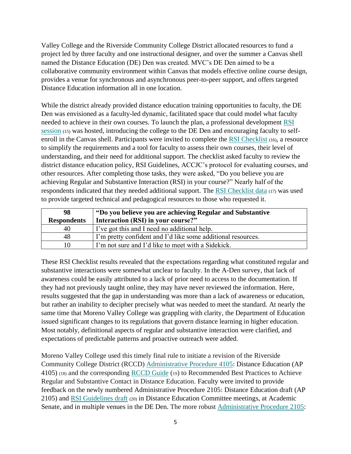Valley College and the Riverside Community College District allocated resources to fund a project led by three faculty and one instructional designer, and over the summer a Canvas shell named the Distance Education (DE) Den was created. MVC's DE Den aimed to be a collaborative community environment within Canvas that models effective online course design, provides a venue for synchronous and asynchronous peer-to-peer support, and offers targeted Distance Education information all in one location.

While the district already provided distance education training opportunities to faculty, the DE Den was envisioned as a faculty-led dynamic, facilitated space that could model what faculty needed to achieve in their own courses. To launch the plan, a professional development [RSI](https://www.rccd.edu/mvc/accreditation/Accreditation%2020201/Evidence/RSI%20session.pdf) [session](https://www.rccd.edu/mvc/accreditation/Accreditation%2020201/Evidence/RSI%20session.pdf) (15) was hosted, introducing the college to the DE Den and encouraging faculty to selfenroll in the Canvas shell. Participants were invited to complete the [RSI Checklist](https://www.rccd.edu/mvc/accreditation/Accreditation%2020201/Evidence/RSI%20Checklist.pdf) (16), a resource to simplify the requirements and a tool for faculty to assess their own courses, their level of understanding, and their need for additional support. The checklist asked faculty to review the district distance education policy, RSI Guidelines, ACCJC's protocol for evaluating courses, and other resources. After completing those tasks, they were asked, "Do you believe you are achieving Regular and Substantive Interaction (RSI) in your course?" Nearly half of the respondents indicated that they needed additional support. The [RSI Checklist data](https://www.rccd.edu/mvc/accreditation/Accreditation%2020201/Evidence/RSI%20Checklist%20data.pdf) (17) was used to provide targeted technical and pedagogical resources to those who requested it.

| 98                 | "Do you believe you are achieving Regular and Substantive    |
|--------------------|--------------------------------------------------------------|
| <b>Respondents</b> | Interaction (RSI) in your course?"                           |
| 40                 | I've got this and I need no additional help.                 |
| 48                 | I'm pretty confident and I'd like some additional resources. |
|                    | I'm not sure and I'd like to meet with a Sidekick.           |

These RSI Checklist results revealed that the expectations regarding what constituted regular and substantive interactions were somewhat unclear to faculty. In the A-Den survey, that lack of awareness could be easily attributed to a lack of prior need to access to the documentation. If they had not previously taught online, they may have never reviewed the information. Here, results suggested that the gap in understanding was more than a lack of awareness or education, but rather an inability to decipher precisely what was needed to meet the standard. At nearly the same time that Moreno Valley College was grappling with clarity, the Department of Education issued significant changes to its regulations that govern distance learning in higher education. Most notably, definitional aspects of regular and substantive interaction were clarified, and expectations of predictable patterns and proactive outreach were added.

Moreno Valley College used this timely final rule to initiate a revision of the Riverside Community College District (RCCD) [Administrative Procedure 4105:](https://www.rccd.edu/mvc/accreditation/Accreditation%2020201/Evidence/AP%204105%20Distance%20Education.pdf) Distance Education (AP 4105) (18) and the corresponding [RCCD Guide](https://www.rccd.edu/mvc/accreditation/Accreditation%2020201/Evidence/RCCD%20Guide.pdf) (19) to Recommended Best Practices to Achieve Regular and Substantive Contact in Distance Education. Faculty were invited to provide feedback on the newly numbered Administrative Procedure 2105: Distance Education draft (AP 2105) and [RSI Guidelines draft](https://www.rccd.edu/mvc/accreditation/Accreditation%2020201/Evidence/RSI%20Guidelines%20Draft.pdf) (20) in Distance Education Committee meetings, at Academic Senate, and in multiple venues in the DE Den. The more robust [Administrative Procedure 2105:](https://www.rccd.edu/mvc/accreditation/Accreditation%2020201/Evidence/AP%202105%20Distance%20Education.pdf)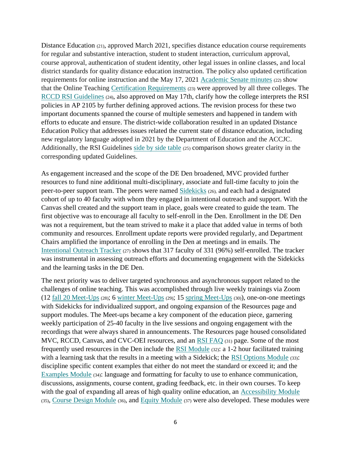Distance Education (21), approved March 2021, specifies distance education course requirements for regular and substantive interaction, student to student interaction, curriculum approval, course approval, authentication of student identity, other legal issues in online classes, and local district standards for quality distance education instruction. The policy also updated certification requirements for online instruction and the May 17, 2021 [Academic Senate minutes](https://www.rccd.edu/mvc/accreditation/Accreditation%2020201/Evidence/Academic%20Senate%20minutes.pdf) (22) show that the Online Teaching [Certification Requirements](https://www.rccd.edu/mvc/accreditation/Accreditation%2020201/Evidence/Certification%20Requirements.pdf) (23) were approved by all three colleges. The [RCCD RSI Guidelines](https://www.rccd.edu/mvc/accreditation/Accreditation%2020201/Evidence/RCCD%20RSI%20Guidelines.pdf) (24), also approved on May 17th, clarify how the college interprets the RSI policies in AP 2105 by further defining approved actions. The revision process for these two important documents spanned the course of multiple semesters and happened in tandem with efforts to educate and ensure. The district-wide collaboration resulted in an updated Distance Education Policy that addresses issues related the current state of distance education, including new regulatory language adopted in 2021 by the Department of Education and the ACCJC. Additionally, the RSI Guidelines [side by side table](https://www.rccd.edu/mvc/accreditation/Accreditation%2020201/Evidence/side%20by%20side%20table.pdf) (25) comparison shows greater clarity in the corresponding updated Guidelines.

As engagement increased and the scope of the DE Den broadened, MVC provided further resources to fund nine additional multi-disciplinary, associate and full-time faculty to join the peer-to-peer support team. The peers were named [Sidekicks](https://www.rccd.edu/mvc/accreditation/Accreditation%2020201/Evidence/Sidekicks.pdf) (26), and each had a designated cohort of up to 40 faculty with whom they engaged in intentional outreach and support. With the Canvas shell created and the support team in place, goals were created to guide the team. The first objective was to encourage all faculty to self-enroll in the Den. Enrollment in the DE Den was not a requirement, but the team strived to make it a place that added value in terms of both community and resources. Enrollment update reports were provided regularly, and Department Chairs amplified the importance of enrolling in the Den at meetings and in emails. The [Intentional Outreach Tracker](https://www.rccd.edu/mvc/accreditation/Accreditation%2020201/Evidence/Intentional%20Outreach%20Tracker.pdf) (27) shows that 317 faculty of 331 (96%) self-enrolled. The tracker was instrumental in assessing outreach efforts and documenting engagement with the Sidekicks and the learning tasks in the DE Den.

The next priority was to deliver targeted synchronous and asynchronous support related to the challenges of online teaching. This was accomplished through live weekly trainings via Zoom (12 [fall 20 Meet-Ups](https://www.rccd.edu/mvc/accreditation/Accreditation%2020201/Evidence/fall%2020%20Meet%20Ups.pdf) (28); 6 [winter Meet-Ups](https://www.rccd.edu/mvc/accreditation/Accreditation%2020201/Evidence/Winter%20Meet-Ups.pdf) (29); 15 [spring Meet-Ups](https://www.rccd.edu/mvc/accreditation/Accreditation%2020201/Evidence/Spring%20Meet-Ups.pdf) (30)), one-on-one meetings with Sidekicks for individualized support, and ongoing expansion of the Resources page and support modules. The Meet-ups became a key component of the education piece, garnering weekly participation of 25-40 faculty in the live sessions and ongoing engagement with the recordings that were always shared in announcements. The Resources page housed consolidated MVC, RCCD, Canvas, and CVC-OEI resources, and an [RSI FAQ](https://www.rccd.edu/mvc/accreditation/Accreditation%2020201/Evidence/RSI%20FAQ.pdf) (31) page. Some of the most frequently used resources in the Den include the [RSI Module](https://www.rccd.edu/mvc/accreditation/Accreditation%2020201/Evidence/RSI%20Module.pdf) (32): a 1-2 hour facilitated training with a learning task that the results in a meeting with a Sidekick; the [RSI Options Module](https://www.rccd.edu/mvc/accreditation/Accreditation%2020201/Evidence/RSI%20Options.pdf) (33): discipline specific content examples that either do not meet the standard or exceed it; and the [Examples Module](https://www.rccd.edu/mvc/accreditation/Accreditation%2020201/Evidence/Examples%20Module.pdf) (34): language and formatting for faculty to use to enhance communication, discussions, assignments, course content, grading feedback, etc. in their own courses. To keep with the goal of expanding all areas of high quality online education, an [Accessibility Module](https://www.rccd.edu/mvc/accreditation/Accreditation%2020201/Evidence/Accessibility%20Module.pdf) (35), [Course Design Module](https://www.rccd.edu/mvc/accreditation/Accreditation%2020201/Evidence/Course%20Design%20Module.pdf) (36), and [Equity Module](https://www.rccd.edu/mvc/accreditation/Accreditation%2020201/Evidence/Equity%20Module.pdf) (37) were also developed. These modules were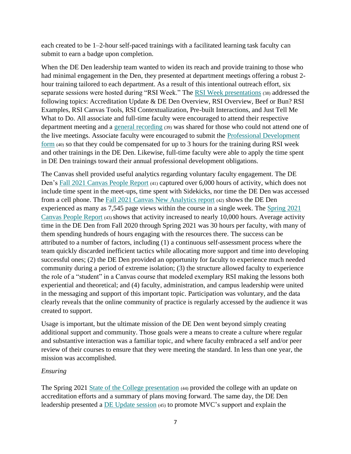each created to be 1–2-hour self-paced trainings with a facilitated learning task faculty can submit to earn a badge upon completion.

When the DE Den leadership team wanted to widen its reach and provide training to those who had minimal engagement in the Den, they presented at department meetings offering a robust 2 hour training tailored to each department. As a result of this intentional outreach effort, six separate sessions were hosted during "RSI Week." The [RSI Week presentations](https://www.rccd.edu/mvc/accreditation/Accreditation%2020201/Evidence/RSI%20Week%20presentations.pdf) (38) addressed the following topics: Accreditation Update & DE Den Overview, RSI Overview, Beef or Bun? RSI Examples, RSI Canvas Tools, RSI Contextualization, Pre-built Interactions, and Just Tell Me What to Do. All associate and full-time faculty were encouraged to attend their respective department meeting and a [general recording](https://www.rccd.edu/mvc/accreditation/Accreditation%2020201/Evidence/general%20recording.pdf) (39) was shared for those who could not attend one of the live meetings. Associate faculty were encouraged to submit the [Professional Development](https://www.rccd.edu/mvc/accreditation/Accreditation%2020201/Evidence/Professional%20Development%20form.pdf)  [form](https://www.rccd.edu/mvc/accreditation/Accreditation%2020201/Evidence/Professional%20Development%20form.pdf) (40) so that they could be compensated for up to 3 hours for the training during RSI week and other trainings in the DE Den. Likewise, full-time faculty were able to apply the time spent in DE Den trainings toward their annual professional development obligations.

The Canvas shell provided useful analytics regarding voluntary faculty engagement. The DE Den's Fall 2021 [Canvas People Report](https://www.rccd.edu/mvc/accreditation/Accreditation%2020201/Evidence/fall%2020%20Canvas%20People%20Report.pdf) (41) captured over 6,000 hours of activity, which does not include time spent in the meet-ups, time spent with Sidekicks, nor time the DE Den was accessed from a cell phone. The Fall [2021 Canvas New Analytics report](https://www.rccd.edu/mvc/accreditation/Accreditation%2020201/Evidence/fall%20Canvas%20New%20Analytics%20report.pdf) (42) shows the DE Den experienced as many as 7,545 page views within the course in a single week. The [Spring 2021](https://www.rccd.edu/mvc/accreditation/Accreditation%2020201/Evidence/Spring%202021%20Canvas%20People%20Report.pdf) [Canvas People Report](https://www.rccd.edu/mvc/accreditation/Accreditation%2020201/Evidence/Spring%202021%20Canvas%20People%20Report.pdf) (43) shows that activity increased to nearly 10,000 hours. Average activity time in the DE Den from Fall 2020 through Spring 2021 was 30 hours per faculty, with many of them spending hundreds of hours engaging with the resources there. The success can be attributed to a number of factors, including (1) a continuous self-assessment process where the team quickly discarded inefficient tactics while allocating more support and time into developing successful ones; (2) the DE Den provided an opportunity for faculty to experience much needed community during a period of extreme isolation; (3) the structure allowed faculty to experience the role of a "student" in a Canvas course that modeled exemplary RSI making the lessons both experiential and theoretical; and (4) faculty, administration, and campus leadership were united in the messaging and support of this important topic. Participation was voluntary, and the data clearly reveals that the online community of practice is regularly accessed by the audience it was created to support.

Usage is important, but the ultimate mission of the DE Den went beyond simply creating additional support and community. Those goals were a means to create a culture where regular and substantive interaction was a familiar topic, and where faculty embraced a self and/or peer review of their courses to ensure that they were meeting the standard. In less than one year, the mission was accomplished.

## <span id="page-9-0"></span>*Ensuring*

The Spring 2021 [State of the College presentation](https://www.rccd.edu/mvc/accreditation/Accreditation%2020201/Evidence/State%20of%20the%20College%20presentation.pdf) (44) provided the college with an update on accreditation efforts and a summary of plans moving forward. The same day, the DE Den leadership presented a [DE Update session](https://www.rccd.edu/mvc/accreditation/Accreditation%2020201/Evidence/DE%20Update%20session.pdf) (45) to promote MVC's support and explain the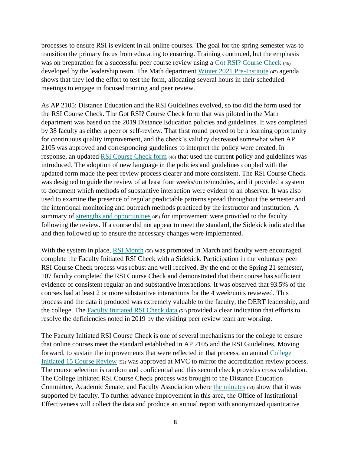processes to ensure RSI is evident in all online courses. The goal for the spring semester was to transition the primary focus from educating to ensuring. Training continued, but the emphasis was on preparation for a successful peer course review using a Got [RSI? Course Check](https://www.rccd.edu/mvc/accreditation/Accreditation%2020201/Evidence/Got%20RSI%20Course%20Check.pdf) (46) developed by the leadership team. The Math department [Winter 2021 Pre-Institute](https://www.rccd.edu/mvc/accreditation/Accreditation%2020201/Evidence/Winter%202021%20Pre-Institute%20Agenda.pdf) (47) agenda shows that they led the effort to test the form, allocating several hours in their scheduled meetings to engage in focused training and peer review.

As AP 2105: Distance Education and the RSI Guidelines evolved, so too did the form used for the RSI Course Check. The Got RSI? Course Check form that was piloted in the Math department was based on the 2019 Distance Education policies and guidelines. It was completed by 38 faculty as either a peer or self-review. That first round proved to be a learning opportunity for continuous quality improvement, and the check's validity decreased somewhat when AP 2105 was approved and corresponding guidelines to interpret the policy were created. In response, an updated [RSI Course Check](https://www.rccd.edu/mvc/accreditation/Accreditation%2020201/Evidence/RSI%20Course%20Check.pdf) form (48) that used the current policy and guidelines was introduced. The adoption of new language in the policies and guidelines coupled with the updated form made the peer review process clearer and more consistent. The RSI Course Check was designed to guide the review of at least four weeks/units/modules, and it provided a system to document which methods of substantive interaction were evident to an observer. It was also used to examine the presence of regular predictable patterns spread throughout the semester and the intentional monitoring and outreach methods practiced by the instructor and institution. A summary of [strengths and opportunities](https://www.rccd.edu/mvc/accreditation/Accreditation%2020201/Evidence/strengths%20and%20opportunities.pdf) (49) for improvement were provided to the faculty following the review. If a course did not appear to meet the standard, the Sidekick indicated that and then followed up to ensure the necessary changes were implemented.

With the system in place, [RSI Month](https://www.rccd.edu/mvc/accreditation/Accreditation%2020201/Evidence/RSI%20Month.pdf) (50) was promoted in March and faculty were encouraged complete the Faculty Initiated RSI Check with a Sidekick. Participation in the voluntary peer RSI Course Check process was robust and well received. By the end of the Spring 21 semester, 107 faculty completed the RSI Course Check and demonstrated that their course has sufficient evidence of consistent regular an and substantive interactions. It was observed that 93.5% of the courses had at least 2 or more substantive interactions for the 4 week/units reviewed. This process and the data it produced was extremely valuable to the faculty, the DERT leadership, and the college. The [Faculty Initiated RSI Check data](https://www.rccd.edu/mvc/accreditation/Accreditation%2020201/Evidence/Faculty%20Initiated%20RSI%20Check%20data.pdf) (51) provided a clear indication that efforts to resolve the deficiencies noted in 2019 by the visiting peer review team are working.

The Faculty Initiated RSI Course Check is one of several mechanisms for the college to ensure that online courses meet the standard established in AP 2105 and the RSI Guidelines. Moving forward, to sustain the improvements that were reflected in that process, an annual [College](https://www.rccd.edu/mvc/accreditation/Accreditation%2020201/Evidence/College-Initiated%2015%20Course%20Review.pdf) Initiated [15 Course Review](https://www.rccd.edu/mvc/accreditation/Accreditation%2020201/Evidence/College-Initiated%2015%20Course%20Review.pdf) (52) was approved at MVC to mirror the accreditation review process. The course selection is random and confidential and this second check provides cross validation. The College Initiated RSI Course Check process was brought to the Distance Education Committee, Academic Senate, and Faculty Association where [the minutes](https://www.rccd.edu/mvc/accreditation/Accreditation%2020201/Evidence/the%20minutes.pdf) (53) show that it was supported by faculty. To further advance improvement in this area, the Office of Institutional Effectiveness will collect the data and produce an annual report with anonymized quantitative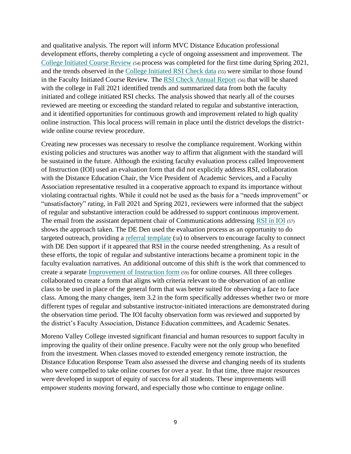and qualitative analysis. The report will inform MVC Distance Education professional development efforts, thereby completing a cycle of ongoing assessment and improvement. The [College Initiated Course Review](https://www.rccd.edu/mvc/accreditation/Accreditation%2020201/Evidence/College%20Initiated%20Course%20Review.pdf) (54) process was completed for the first time during Spring 2021, and the trends observed in the [College Initiated RSI Check data](https://www.rccd.edu/mvc/accreditation/Accreditation%2020201/Evidence/College%20Initiated%20RSI%20Check%20data.pdf) (55) were similar to those found in the Faculty Initiated Course Review. The [RSI Check Annual Report](https://www.rccd.edu/mvc/accreditation/Accreditation%2020201/Evidence/RSI%20Check%20Annual%20Report.pdf) (56) that will be shared with the college in Fall 2021 identified trends and summarized data from both the faculty initiated and college initiated RSI checks. The analysis showed that nearly all of the courses reviewed are meeting or exceeding the standard related to regular and substantive interaction, and it identified opportunities for continuous growth and improvement related to high quality online instruction. This local process will remain in place until the district develops the districtwide online course review procedure.

Creating new processes was necessary to resolve the compliance requirement. Working within existing policies and structures was another way to affirm that alignment with the standard will be sustained in the future. Although the existing faculty evaluation process called Improvement of Instruction (IOI) used an evaluation form that did not explicitly address RSI, collaboration with the Distance Education Chair, the Vice President of Academic Services, and a Faculty Association representative resulted in a cooperative approach to expand its importance without violating contractual rights. While it could not be used as the basis for a "needs improvement" or "unsatisfactory" rating, in Fall 2021 and Spring 2021, reviewers were informed that the subject of regular and substantive interaction could be addressed to support continuous improvement. The email from the assistant department chair of Communications addressing [RSI in IOI](https://www.rccd.edu/mvc/accreditation/Accreditation%2020201/Evidence/RSI%20in%20IOI.pdf) (57) shows the approach taken. The DE Den used the evaluation process as an opportunity to do targeted outreach, providing a [referral template](https://www.rccd.edu/mvc/accreditation/Accreditation%2020201/Evidence/referral%20template.pdf) (58) to observers to encourage faculty to connect with DE Den support if it appeared that RSI in the course needed strengthening. As a result of these efforts, the topic of regular and substantive interactions became a prominent topic in the faculty evaluation narratives. An additional outcome of this shift is the work that commenced to create a separate [Improvement of Instruction form](https://www.rccd.edu/mvc/accreditation/Accreditation%2020201/Evidence/Improvement%20of%20Instruction%20form.pdf) (59) for online courses. All three colleges collaborated to create a form that aligns with criteria relevant to the observation of an online class to be used in place of the general form that was better suited for observing a face to face class. Among the many changes, item 3.2 in the form specifically addresses whether two or more different types of regular and substantive instructor-initiated interactions are demonstrated during the observation time period. The IOI faculty observation form was reviewed and supported by the district's Faculty Association, Distance Education committees, and Academic Senates.

Moreno Valley College invested significant financial and human resources to support faculty in improving the quality of their online presence. Faculty were not the only group who benefited from the investment. When classes moved to extended emergency remote instruction, the Distance Education Response Team also assessed the diverse and changing needs of its students who were compelled to take online courses for over a year. In that time, three major resources were developed in support of equity of success for all students. These improvements will empower students moving forward, and especially those who continue to engage online.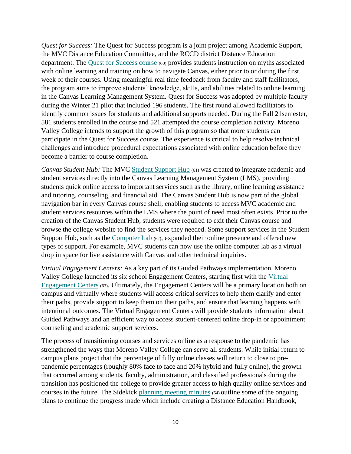*Quest for Success:* The Quest for Success program is a joint project among Academic Support, the MVC Distance Education Committee, and the RCCD district Distance Education department. The [Quest for Success course](https://www.rccd.edu/mvc/accreditation/Accreditation%2020201/Evidence/Quest%20for%20Success%20course.pdf) (60) provides students instruction on myths associated with online learning and training on how to navigate Canvas, either prior to or during the first week of their courses. Using meaningful real time feedback from faculty and staff facilitators, the program aims to improve students' knowledge, skills, and abilities related to online learning in the Canvas Learning Management System. Quest for Success was adopted by multiple faculty during the Winter 21 pilot that included 196 students. The first round allowed facilitators to identify common issues for students and additional supports needed. During the Fall 21semester, 581 students enrolled in the course and 521 attempted the course completion activity. Moreno Valley College intends to support the growth of this program so that more students can participate in the Quest for Success course. The experience is critical to help resolve technical challenges and introduce procedural expectations associated with online education before they become a barrier to course completion.

*Canvas Student Hub:* The MVC [Student Support Hub](https://www.rccd.edu/mvc/accreditation/Accreditation%2020201/Evidence/Student%20Support%20Hub.pdf) (61) was created to integrate academic and student services directly into the Canvas Learning Management System (LMS), providing students quick online access to important services such as the library, online learning assistance and tutoring, counseling, and financial aid. The Canvas Student Hub is now part of the global navigation bar in every Canvas course shell, enabling students to access MVC academic and student services resources within the LMS where the point of need most often exists. Prior to the creation of the Canvas Student Hub, students were required to exit their Canvas course and browse the college website to find the services they needed. Some support services in the Student Support Hub, such as the [Computer Lab](https://www.rccd.edu/mvc/accreditation/Accreditation%2020201/Evidence/Computer%20Lab.pdf) (62), expanded their online presence and offered new types of support. For example, MVC students can now use the online computer lab as a virtual drop in space for live assistance with Canvas and other technical inquiries.

*Virtual Engagement Centers:* As a key part of its Guided Pathways implementation, Moreno Valley College launched its six school Engagement Centers, starting first with the [Virtual](https://www.rccd.edu/mvc/accreditation/Accreditation%2020201/Evidence/Virtual%20Engagement%20Centers.pdf)  [Engagement Centers](https://www.rccd.edu/mvc/accreditation/Accreditation%2020201/Evidence/Virtual%20Engagement%20Centers.pdf) (63). Ultimately, the Engagement Centers will be a primary location both on campus and virtually where students will access critical services to help them clarify and enter their paths, provide support to keep them on their paths, and ensure that learning happens with intentional outcomes. The Virtual Engagement Centers will provide students information about Guided Pathways and an efficient way to access student-centered online drop-in or appointment counseling and academic support services.

The process of transitioning courses and services online as a response to the pandemic has strengthened the ways that Moreno Valley College can serve all students. While initial return to campus plans project that the percentage of fully online classes will return to close to prepandemic percentages (roughly 80% face to face and 20% hybrid and fully online), the growth that occurred among students, faculty, administration, and classified professionals during the transition has positioned the college to provide greater access to high quality online services and courses in the future. The Sidekick [planning meeting minutes](https://www.rccd.edu/mvc/accreditation/Accreditation%2020201/Evidence/planning%20meeting%20minutes.pdf) (64) outline some of the ongoing plans to continue the progress made which include creating a Distance Education Handbook,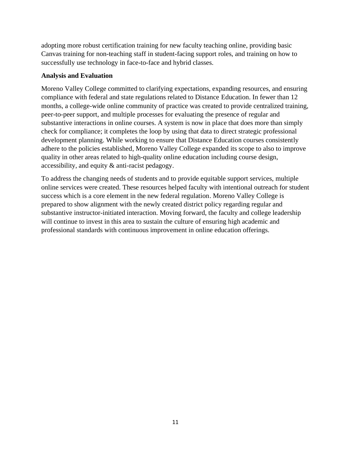adopting more robust certification training for new faculty teaching online, providing basic Canvas training for non-teaching staff in student-facing support roles, and training on how to successfully use technology in face-to-face and hybrid classes.

## **Analysis and Evaluation**

Moreno Valley College committed to clarifying expectations, expanding resources, and ensuring compliance with federal and state regulations related to Distance Education. In fewer than 12 months, a college-wide online community of practice was created to provide centralized training, peer-to-peer support, and multiple processes for evaluating the presence of regular and substantive interactions in online courses. A system is now in place that does more than simply check for compliance; it completes the loop by using that data to direct strategic professional development planning. While working to ensure that Distance Education courses consistently adhere to the policies established, Moreno Valley College expanded its scope to also to improve quality in other areas related to high-quality online education including course design, accessibility, and equity & anti-racist pedagogy.

To address the changing needs of students and to provide equitable support services, multiple online services were created. These resources helped faculty with intentional outreach for student success which is a core element in the new federal regulation. Moreno Valley College is prepared to show alignment with the newly created district policy regarding regular and substantive instructor-initiated interaction. Moving forward, the faculty and college leadership will continue to invest in this area to sustain the culture of ensuring high academic and professional standards with continuous improvement in online education offerings.